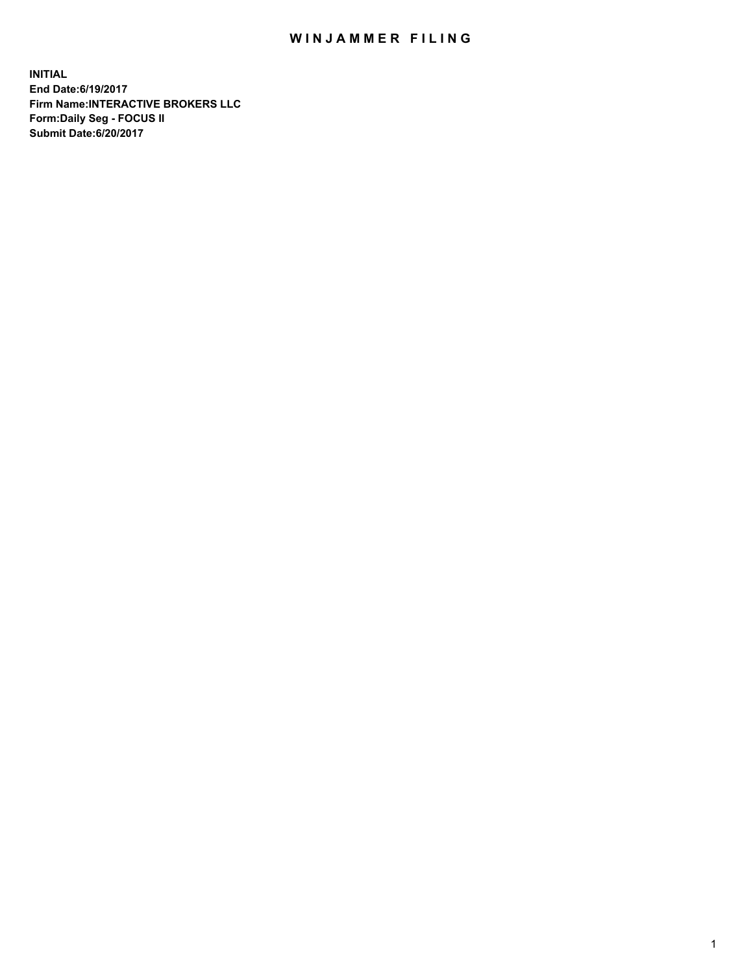## WIN JAMMER FILING

**INITIAL End Date:6/19/2017 Firm Name:INTERACTIVE BROKERS LLC Form:Daily Seg - FOCUS II Submit Date:6/20/2017**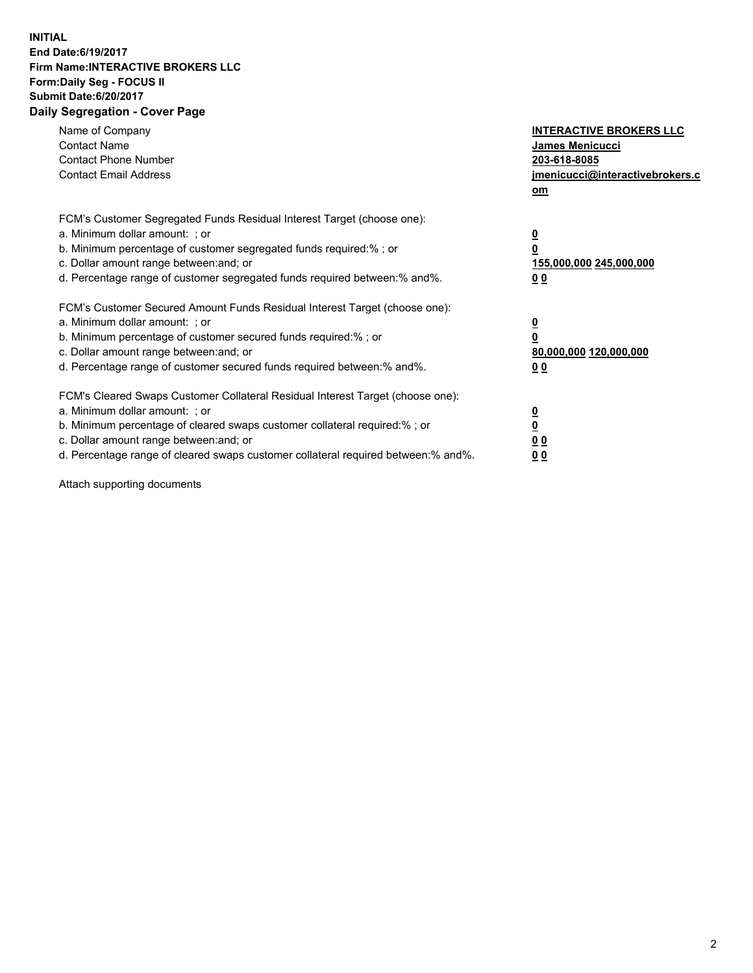## **INITIAL End Date:6/19/2017 Firm Name:INTERACTIVE BROKERS LLC Form:Daily Seg - FOCUS II Submit Date:6/20/2017 Daily Segregation - Cover Page**

| Name of Company<br><b>Contact Name</b><br><b>Contact Phone Number</b><br><b>Contact Email Address</b>                                                                                                                                                                                                                          | <b>INTERACTIVE BROKERS LLC</b><br>James Menicucci<br>203-618-8085<br>jmenicucci@interactivebrokers.c<br>om |
|--------------------------------------------------------------------------------------------------------------------------------------------------------------------------------------------------------------------------------------------------------------------------------------------------------------------------------|------------------------------------------------------------------------------------------------------------|
| FCM's Customer Segregated Funds Residual Interest Target (choose one):<br>a. Minimum dollar amount: ; or<br>b. Minimum percentage of customer segregated funds required:% ; or<br>c. Dollar amount range between: and; or<br>d. Percentage range of customer segregated funds required between:% and%.                         | $\overline{\mathbf{0}}$<br>0<br>155,000,000 245,000,000<br>0 <sub>0</sub>                                  |
| FCM's Customer Secured Amount Funds Residual Interest Target (choose one):<br>a. Minimum dollar amount: ; or<br>b. Minimum percentage of customer secured funds required:%; or<br>c. Dollar amount range between: and; or<br>d. Percentage range of customer secured funds required between: % and %.                          | $\overline{\mathbf{0}}$<br>0<br>80,000,000 120,000,000<br>0 <sub>0</sub>                                   |
| FCM's Cleared Swaps Customer Collateral Residual Interest Target (choose one):<br>a. Minimum dollar amount: ; or<br>b. Minimum percentage of cleared swaps customer collateral required:% ; or<br>c. Dollar amount range between: and; or<br>d. Percentage range of cleared swaps customer collateral required between:% and%. | $\overline{\mathbf{0}}$<br>$\overline{\mathbf{0}}$<br>0 <sub>0</sub><br>0 <sub>0</sub>                     |

Attach supporting documents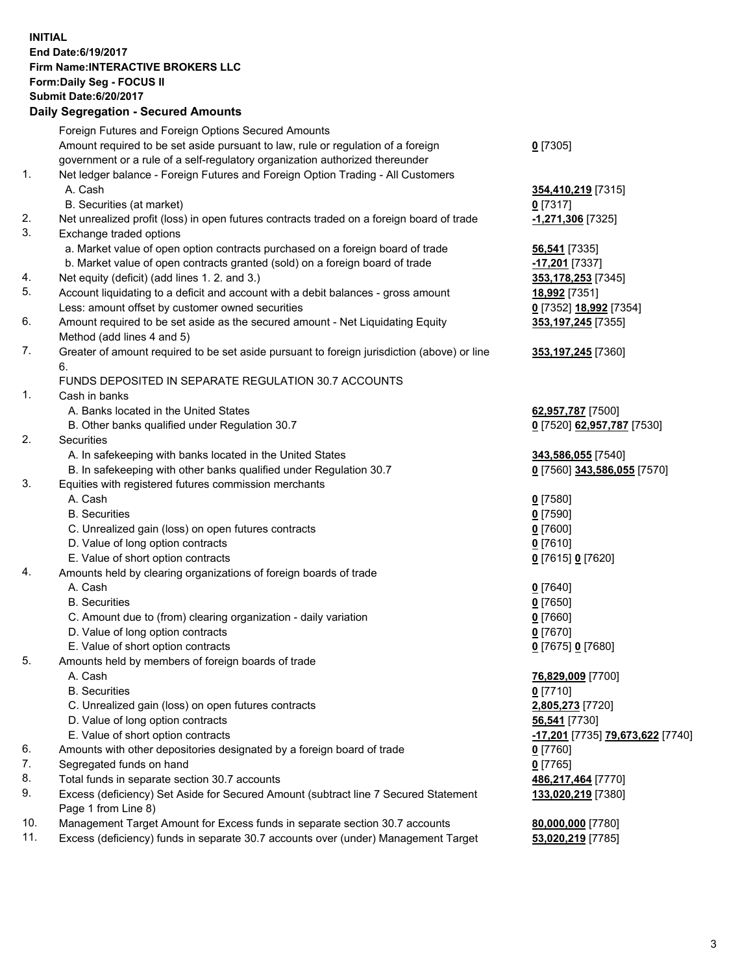## **INITIAL End Date:6/19/2017 Firm Name:INTERACTIVE BROKERS LLC Form:Daily Seg - FOCUS II Submit Date:6/20/2017**<br>**Daily Segregation - Secured Amounts Daily Segregation - Seture**

|     | Daily Segregation - Secured Amounts                                                                          |                                         |
|-----|--------------------------------------------------------------------------------------------------------------|-----------------------------------------|
|     | Foreign Futures and Foreign Options Secured Amounts                                                          |                                         |
|     | Amount required to be set aside pursuant to law, rule or regulation of a foreign                             | $0$ [7305]                              |
|     | government or a rule of a self-regulatory organization authorized thereunder                                 |                                         |
| 1.  | Net ledger balance - Foreign Futures and Foreign Option Trading - All Customers                              |                                         |
|     | A. Cash                                                                                                      | 354,410,219 [7315]                      |
|     | B. Securities (at market)                                                                                    | $0$ [7317]                              |
| 2.  | Net unrealized profit (loss) in open futures contracts traded on a foreign board of trade                    |                                         |
| 3.  |                                                                                                              | -1,271,306 [7325]                       |
|     | Exchange traded options                                                                                      |                                         |
|     | a. Market value of open option contracts purchased on a foreign board of trade                               | 56,541 [7335]                           |
|     | b. Market value of open contracts granted (sold) on a foreign board of trade                                 | -17,201 [7337]                          |
| 4.  | Net equity (deficit) (add lines 1.2. and 3.)                                                                 | 353,178,253 [7345]                      |
| 5.  | Account liquidating to a deficit and account with a debit balances - gross amount                            | 18,992 [7351]                           |
|     | Less: amount offset by customer owned securities                                                             | 0 [7352] 18,992 [7354]                  |
| 6.  | Amount required to be set aside as the secured amount - Net Liquidating Equity<br>Method (add lines 4 and 5) | 353,197,245 [7355]                      |
| 7.  | Greater of amount required to be set aside pursuant to foreign jurisdiction (above) or line                  | 353,197,245 [7360]                      |
|     | 6.                                                                                                           |                                         |
|     | FUNDS DEPOSITED IN SEPARATE REGULATION 30.7 ACCOUNTS                                                         |                                         |
| 1.  | Cash in banks                                                                                                |                                         |
|     | A. Banks located in the United States                                                                        | 62,957,787 [7500]                       |
|     | B. Other banks qualified under Regulation 30.7                                                               | 0 [7520] 62,957,787 [7530]              |
| 2.  | Securities                                                                                                   |                                         |
|     | A. In safekeeping with banks located in the United States                                                    |                                         |
|     |                                                                                                              | 343,586,055 [7540]                      |
| 3.  | B. In safekeeping with other banks qualified under Regulation 30.7                                           | 0 [7560] 343,586,055 [7570]             |
|     | Equities with registered futures commission merchants                                                        |                                         |
|     | A. Cash                                                                                                      | $0$ [7580]                              |
|     | <b>B.</b> Securities                                                                                         | $0$ [7590]                              |
|     | C. Unrealized gain (loss) on open futures contracts                                                          | $0$ [7600]                              |
|     | D. Value of long option contracts                                                                            | $0$ [7610]                              |
|     | E. Value of short option contracts                                                                           | 0 [7615] 0 [7620]                       |
| 4.  | Amounts held by clearing organizations of foreign boards of trade                                            |                                         |
|     | A. Cash                                                                                                      | $0$ [7640]                              |
|     | <b>B.</b> Securities                                                                                         | $0$ [7650]                              |
|     | C. Amount due to (from) clearing organization - daily variation                                              | $0$ [7660]                              |
|     | D. Value of long option contracts                                                                            | $0$ [7670]                              |
|     | E. Value of short option contracts                                                                           | 0 [7675] 0 [7680]                       |
| 5.  | Amounts held by members of foreign boards of trade                                                           |                                         |
|     | A. Cash                                                                                                      | 76,829,009 [7700]                       |
|     | <b>B.</b> Securities                                                                                         | $0$ [7710]                              |
|     | C. Unrealized gain (loss) on open futures contracts                                                          | 2,805,273 [7720]                        |
|     | D. Value of long option contracts                                                                            | 56,541 [7730]                           |
|     | E. Value of short option contracts                                                                           | <u>-17,201</u> [7735] 79,673,622 [7740] |
| 6.  | Amounts with other depositories designated by a foreign board of trade                                       | 0 [7760]                                |
| 7.  | Segregated funds on hand                                                                                     | $0$ [7765]                              |
| 8.  | Total funds in separate section 30.7 accounts                                                                | 486,217,464 [7770]                      |
| 9.  | Excess (deficiency) Set Aside for Secured Amount (subtract line 7 Secured Statement                          | 133,020,219 [7380]                      |
|     | Page 1 from Line 8)                                                                                          |                                         |
| 10. | Management Target Amount for Excess funds in separate section 30.7 accounts                                  | 80,000,000 [7780]                       |
| 11. | Excess (deficiency) funds in separate 30.7 accounts over (under) Management Target                           | 53,020,219 [7785]                       |
|     |                                                                                                              |                                         |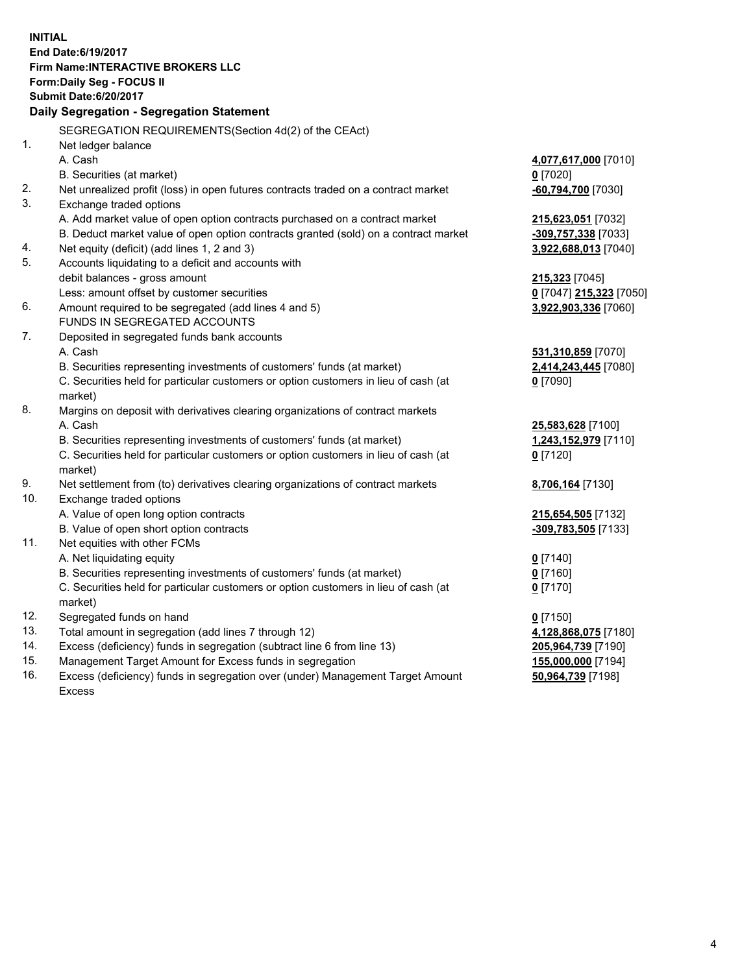**INITIAL End Date:6/19/2017 Firm Name:INTERACTIVE BROKERS LLC Form:Daily Seg - FOCUS II Submit Date:6/20/2017 Daily Segregation - Segregation Statement** SEGREGATION REQUIREMENTS(Section 4d(2) of the CEAct) 1. Net ledger balance A. Cash **4,077,617,000** [7010] B. Securities (at market) **0** [7020] 2. Net unrealized profit (loss) in open futures contracts traded on a contract market **-60,794,700** [7030] 3. Exchange traded options A. Add market value of open option contracts purchased on a contract market **215,623,051** [7032] B. Deduct market value of open option contracts granted (sold) on a contract market **-309,757,338** [7033] 4. Net equity (deficit) (add lines 1, 2 and 3) **3,922,688,013** [7040] 5. Accounts liquidating to a deficit and accounts with debit balances - gross amount **215,323** [7045] Less: amount offset by customer securities **0** [7047] **215,323** [7050] 6. Amount required to be segregated (add lines 4 and 5) **3,922,903,336** [7060] FUNDS IN SEGREGATED ACCOUNTS 7. Deposited in segregated funds bank accounts A. Cash **531,310,859** [7070] B. Securities representing investments of customers' funds (at market) **2,414,243,445** [7080] C. Securities held for particular customers or option customers in lieu of cash (at market) **0** [7090] 8. Margins on deposit with derivatives clearing organizations of contract markets A. Cash **25,583,628** [7100] B. Securities representing investments of customers' funds (at market) **1,243,152,979** [7110] C. Securities held for particular customers or option customers in lieu of cash (at market) **0** [7120] 9. Net settlement from (to) derivatives clearing organizations of contract markets **8,706,164** [7130] 10. Exchange traded options A. Value of open long option contracts **215,654,505** [7132] B. Value of open short option contracts **-309,783,505** [7133] 11. Net equities with other FCMs A. Net liquidating equity **0** [7140] B. Securities representing investments of customers' funds (at market) **0** [7160] C. Securities held for particular customers or option customers in lieu of cash (at market) **0** [7170] 12. Segregated funds on hand **0** [7150] 13. Total amount in segregation (add lines 7 through 12) **4,128,868,075** [7180] 14. Excess (deficiency) funds in segregation (subtract line 6 from line 13) **205,964,739** [7190] 15. Management Target Amount for Excess funds in segregation **155,000,000** [7194]

16. Excess (deficiency) funds in segregation over (under) Management Target Amount Excess

**50,964,739** [7198]